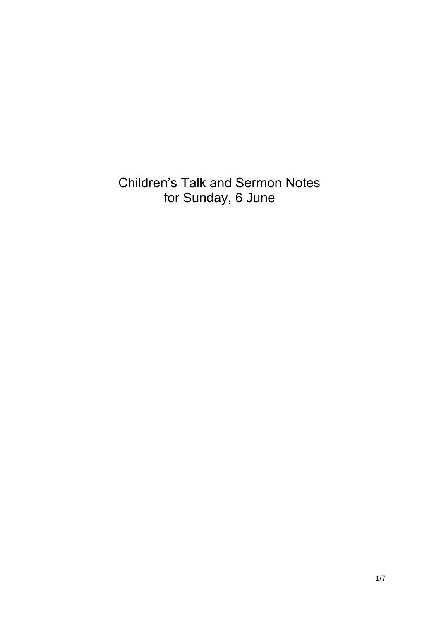Children's Talk and Sermon Notes for Sunday, 6 June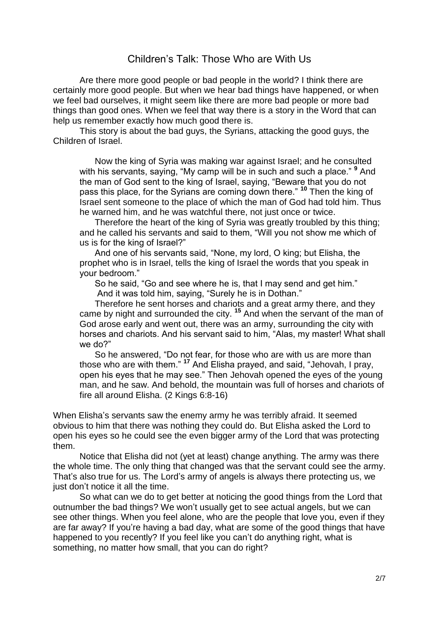## Children's Talk: Those Who are With Us

Are there more good people or bad people in the world? I think there are certainly more good people. But when we hear bad things have happened, or when we feel bad ourselves, it might seem like there are more bad people or more bad things than good ones. When we feel that way there is a story in the Word that can help us remember exactly how much good there is.

This story is about the bad guys, the Syrians, attacking the good guys, the Children of Israel.

Now the king of Syria was making war against Israel; and he consulted with his servants, saying, "My camp will be in such and such a place." **<sup>9</sup>** And the man of God sent to the king of Israel, saying, "Beware that you do not pass this place, for the Syrians are coming down there." **<sup>10</sup>** Then the king of Israel sent someone to the place of which the man of God had told him. Thus he warned him, and he was watchful there, not just once or twice.

Therefore the heart of the king of Syria was greatly troubled by this thing; and he called his servants and said to them, "Will you not show me which of us is for the king of Israel?"

And one of his servants said, "None, my lord, O king; but Elisha, the prophet who is in Israel, tells the king of Israel the words that you speak in your bedroom."

So he said, "Go and see where he is, that I may send and get him." And it was told him, saying, "Surely he is in Dothan."

Therefore he sent horses and chariots and a great army there, and they came by night and surrounded the city. **<sup>15</sup>** And when the servant of the man of God arose early and went out, there was an army, surrounding the city with horses and chariots. And his servant said to him, "Alas, my master! What shall we do?"

So he answered, "Do not fear, for those who are with us are more than those who are with them." **<sup>17</sup>** And Elisha prayed, and said, "Jehovah, I pray, open his eyes that he may see." Then Jehovah opened the eyes of the young man, and he saw. And behold, the mountain was full of horses and chariots of fire all around Elisha. (2 Kings 6:8-16)

When Elisha's servants saw the enemy army he was terribly afraid. It seemed obvious to him that there was nothing they could do. But Elisha asked the Lord to open his eyes so he could see the even bigger army of the Lord that was protecting them.

Notice that Elisha did not (yet at least) change anything. The army was there the whole time. The only thing that changed was that the servant could see the army. That's also true for us. The Lord's army of angels is always there protecting us, we just don't notice it all the time.

So what can we do to get better at noticing the good things from the Lord that outnumber the bad things? We won't usually get to see actual angels, but we can see other things. When you feel alone, who are the people that love you, even if they are far away? If you're having a bad day, what are some of the good things that have happened to you recently? If you feel like you can't do anything right, what is something, no matter how small, that you can do right?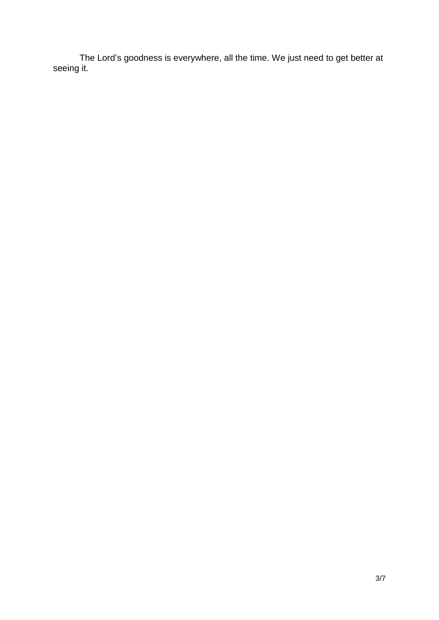The Lord's goodness is everywhere, all the time. We just need to get better at seeing it.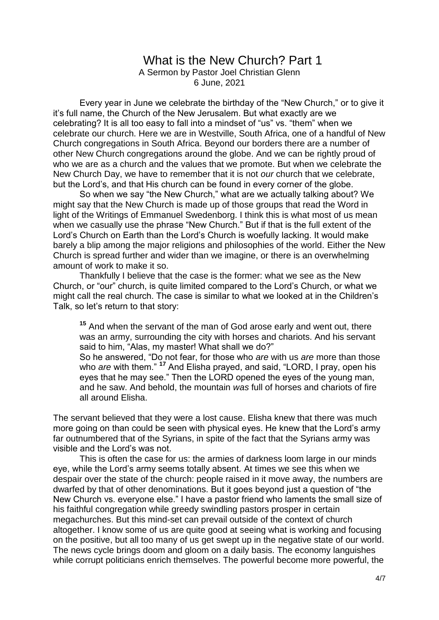## What is the New Church? Part 1

A Sermon by Pastor Joel Christian Glenn 6 June, 2021

Every year in June we celebrate the birthday of the "New Church," or to give it it's full name, the Church of the New Jerusalem. But what exactly are we celebrating? It is all too easy to fall into a mindset of "us" vs. "them" when we celebrate our church. Here we are in Westville, South Africa, one of a handful of New Church congregations in South Africa. Beyond our borders there are a number of other New Church congregations around the globe. And we can be rightly proud of who we are as a church and the values that we promote. But when we celebrate the New Church Day, we have to remember that it is not *our* church that we celebrate, but the Lord's, and that His church can be found in every corner of the globe.

So when we say "the New Church," what are we actually talking about? We might say that the New Church is made up of those groups that read the Word in light of the Writings of Emmanuel Swedenborg. I think this is what most of us mean when we casually use the phrase "New Church." But if that is the full extent of the Lord's Church on Earth than the Lord's Church is woefully lacking. It would make barely a blip among the major religions and philosophies of the world. Either the New Church is spread further and wider than we imagine, or there is an overwhelming amount of work to make it so.

Thankfully I believe that the case is the former: what we see as the New Church, or "our" church, is quite limited compared to the Lord's Church, or what we might call the real church. The case is similar to what we looked at in the Children's Talk, so let's return to that story:

**<sup>15</sup>** And when the servant of the man of God arose early and went out, there was an army, surrounding the city with horses and chariots. And his servant said to him, "Alas, my master! What shall we do?" So he answered, "Do not fear, for those who *are* with us *are* more than those who *are* with them." **<sup>17</sup>** And Elisha prayed, and said, "LORD, I pray, open his eyes that he may see." Then the LORD opened the eyes of the young man, and he saw. And behold, the mountain *was* full of horses and chariots of fire all around Elisha.

The servant believed that they were a lost cause. Elisha knew that there was much more going on than could be seen with physical eyes. He knew that the Lord's army far outnumbered that of the Syrians, in spite of the fact that the Syrians army was visible and the Lord's was not.

This is often the case for us: the armies of darkness loom large in our minds eye, while the Lord's army seems totally absent. At times we see this when we despair over the state of the church: people raised in it move away, the numbers are dwarfed by that of other denominations. But it goes beyond just a question of "the New Church vs. everyone else." I have a pastor friend who laments the small size of his faithful congregation while greedy swindling pastors prosper in certain megachurches. But this mind-set can prevail outside of the context of church altogether. I know some of us are quite good at seeing what is working and focusing on the positive, but all too many of us get swept up in the negative state of our world. The news cycle brings doom and gloom on a daily basis. The economy languishes while corrupt politicians enrich themselves. The powerful become more powerful, the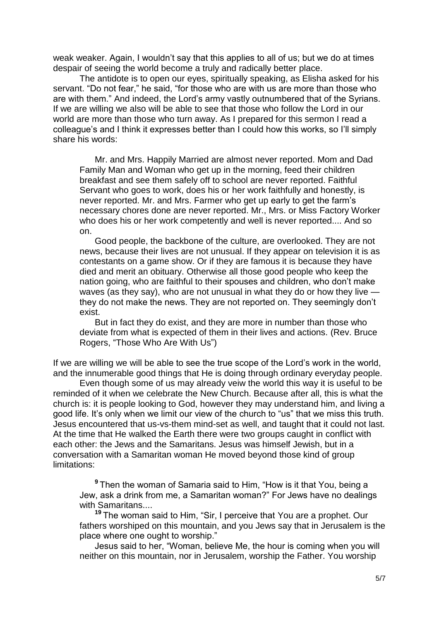weak weaker. Again, I wouldn't say that this applies to all of us; but we do at times despair of seeing the world become a truly and radically better place.

The antidote is to open our eyes, spiritually speaking, as Elisha asked for his servant. "Do not fear," he said, "for those who are with us are more than those who are with them." And indeed, the Lord's army vastly outnumbered that of the Syrians. If we are willing we also will be able to see that those who follow the Lord in our world are more than those who turn away. As I prepared for this sermon I read a colleague's and I think it expresses better than I could how this works, so I'll simply share his words:

Mr. and Mrs. Happily Married are almost never reported. Mom and Dad Family Man and Woman who get up in the morning, feed their children breakfast and see them safely off to school are never reported. Faithful Servant who goes to work, does his or her work faithfully and honestly, is never reported. Mr. and Mrs. Farmer who get up early to get the farm's necessary chores done are never reported. Mr., Mrs. or Miss Factory Worker who does his or her work competently and well is never reported.... And so on.

Good people, the backbone of the culture, are overlooked. They are not news, because their lives are not unusual. If they appear on television it is as contestants on a game show. Or if they are famous it is because they have died and merit an obituary. Otherwise all those good people who keep the nation going, who are faithful to their spouses and children, who don't make waves (as they say), who are not unusual in what they do or how they live  $\cdot$ they do not make the news. They are not reported on. They seemingly don't exist.

But in fact they do exist, and they are more in number than those who deviate from what is expected of them in their lives and actions. (Rev. Bruce Rogers, "Those Who Are With Us")

If we are willing we will be able to see the true scope of the Lord's work in the world, and the innumerable good things that He is doing through ordinary everyday people.

Even though some of us may already veiw the world this way it is useful to be reminded of it when we celebrate the New Church. Because after all, this is what the church is: it is people looking to God, however they may understand him, and living a good life. It's only when we limit our view of the church to "us" that we miss this truth. Jesus encountered that us-vs-them mind-set as well, and taught that it could not last. At the time that He walked the Earth there were two groups caught in conflict with each other: the Jews and the Samaritans. Jesus was himself Jewish, but in a conversation with a Samaritan woman He moved beyond those kind of group limitations:

**<sup>9</sup>**Then the woman of Samaria said to Him, "How is it that You, being a Jew, ask a drink from me, a Samaritan woman?" For Jews have no dealings with Samaritans....

**<sup>19</sup>**The woman said to Him, "Sir, I perceive that You are a prophet. Our fathers worshiped on this mountain, and you Jews say that in Jerusalem is the place where one ought to worship."

Jesus said to her, "Woman, believe Me, the hour is coming when you will neither on this mountain, nor in Jerusalem, worship the Father. You worship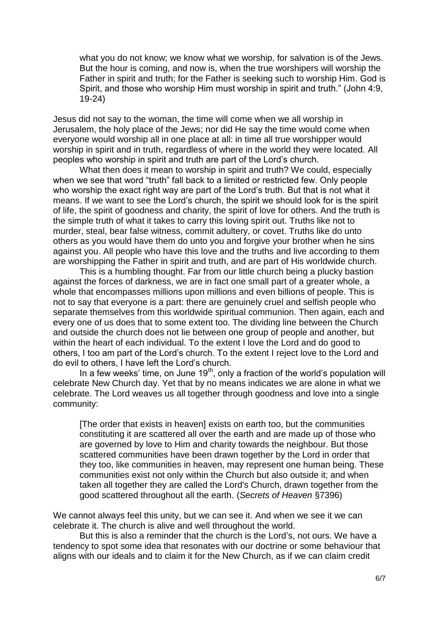what you do not know; we know what we worship, for salvation is of the Jews. But the hour is coming, and now is, when the true worshipers will worship the Father in spirit and truth; for the Father is seeking such to worship Him. God is Spirit, and those who worship Him must worship in spirit and truth." (John 4:9, 19-24)

Jesus did not say to the woman, the time will come when we all worship in Jerusalem, the holy place of the Jews; nor did He say the time would come when everyone would worship all in one place at all: in time all true worshipper would worship in spirit and in truth, regardless of where in the world they were located. All peoples who worship in spirit and truth are part of the Lord's church.

What then does it mean to worship in spirit and truth? We could, especially when we see that word "truth" fall back to a limited or restricted few. Only people who worship the exact right way are part of the Lord's truth. But that is not what it means. If we want to see the Lord's church, the spirit we should look for is the spirit of life, the spirit of goodness and charity, the spirit of love for others. And the truth is the simple truth of what it takes to carry this loving spirit out. Truths like not to murder, steal, bear false witness, commit adultery, or covet. Truths like do unto others as you would have them do unto you and forgive your brother when he sins against you. All people who have this love and the truths and live according to them are worshipping the Father in spirit and truth, and are part of His worldwide church.

This is a humbling thought. Far from our little church being a plucky bastion against the forces of darkness, we are in fact one small part of a greater whole, a whole that encompasses millions upon millions and even billions of people. This is not to say that everyone is a part: there are genuinely cruel and selfish people who separate themselves from this worldwide spiritual communion. Then again, each and every one of us does that to some extent too. The dividing line between the Church and outside the church does not lie between one group of people and another, but within the heart of each individual. To the extent I love the Lord and do good to others, I too am part of the Lord's church. To the extent I reject love to the Lord and do evil to others, I have left the Lord's church.

In a few weeks' time, on June  $19<sup>th</sup>$ , only a fraction of the world's population will celebrate New Church day. Yet that by no means indicates we are alone in what we celebrate. The Lord weaves us all together through goodness and love into a single community:

[The order that exists in heaven] exists on earth too, but the communities constituting it are scattered all over the earth and are made up of those who are governed by love to Him and charity towards the neighbour. But those scattered communities have been drawn together by the Lord in order that they too, like communities in heaven, may represent one human being. These communities exist not only within the Church but also outside it; and when taken all together they are called the Lord's Church, drawn together from the good scattered throughout all the earth. (*Secrets of Heaven* §7396)

We cannot always feel this unity, but we can see it. And when we see it we can celebrate it. The church is alive and well throughout the world.

But this is also a reminder that the church is the Lord's, not ours. We have a tendency to spot some idea that resonates with our doctrine or some behaviour that aligns with our ideals and to claim it for the New Church, as if we can claim credit